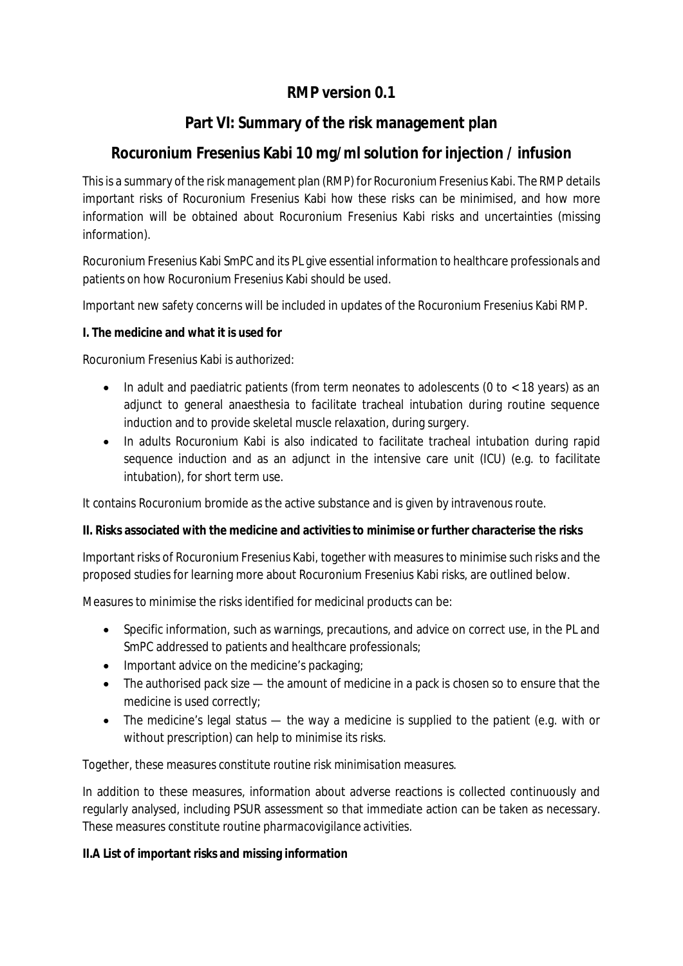## **RMP version 0.1**

## **Part VI: Summary of the risk management plan**

## **Rocuronium Fresenius Kabi 10 mg/ml solution for injection / infusion**

This is a summary of the risk management plan (RMP) for Rocuronium Fresenius Kabi. The RMP details important risks of Rocuronium Fresenius Kabi how these risks can be minimised, and how more information will be obtained about Rocuronium Fresenius Kabi risks and uncertainties (missing information).

Rocuronium Fresenius Kabi SmPC and its PL give essential information to healthcare professionals and patients on how Rocuronium Fresenius Kabi should be used.

Important new safety concerns will be included in updates of the Rocuronium Fresenius Kabi RMP.

**I. The medicine and what it is used for**

Rocuronium Fresenius Kabi is authorized:

- $\bullet$  In adult and paediatric patients (from term neonates to adolescents (0 to  $\lt$  18 years) as an adjunct to general anaesthesia to facilitate tracheal intubation during routine sequence induction and to provide skeletal muscle relaxation, during surgery.
- In adults Rocuronium Kabi is also indicated to facilitate tracheal intubation during rapid sequence induction and as an adjunct in the intensive care unit (ICU) (e.g. to facilitate intubation), for short term use.

It contains Rocuronium bromide as the active substance and is given by intravenous route.

**II. Risks associated with the medicine and activities to minimise or further characterise the risks**

Important risks of Rocuronium Fresenius Kabi, together with measures to minimise such risks and the proposed studies for learning more about Rocuronium Fresenius Kabi risks, are outlined below.

Measures to minimise the risks identified for medicinal products can be:

- Specific information, such as warnings, precautions, and advice on correct use, in the PL and SmPC addressed to patients and healthcare professionals;
- Important advice on the medicine's packaging;
- The authorised pack size the amount of medicine in a pack is chosen so to ensure that the medicine is used correctly;
- The medicine's legal status the way a medicine is supplied to the patient (e.g. with or without prescription) can help to minimise its risks.

Together, these measures constitute *routine risk minimisation* measures.

In addition to these measures, information about adverse reactions is collected continuously and regularly analysed, including PSUR assessment so that immediate action can be taken as necessary. These measures constitute routine *pharmacovigilance activities*.

**II.A List of important risks and missing information**